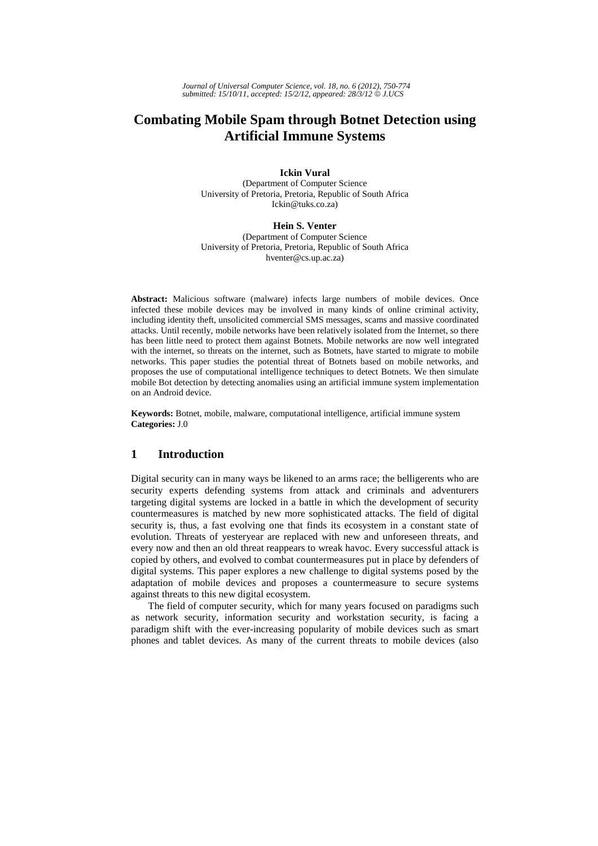# **Combating Mobile Spam through Botnet Detection using Artificial Immune Systems**

**Ickin Vural** 

(Department of Computer Science University of Pretoria, Pretoria, Republic of South Africa Ickin@tuks.co.za)

**Hein S. Venter** 

(Department of Computer Science University of Pretoria, Pretoria, Republic of South Africa hventer@cs.up.ac.za)

**Abstract:** Malicious software (malware) infects large numbers of mobile devices. Once infected these mobile devices may be involved in many kinds of online criminal activity, including identity theft, unsolicited commercial SMS messages, scams and massive coordinated attacks. Until recently, mobile networks have been relatively isolated from the Internet, so there has been little need to protect them against Botnets. Mobile networks are now well integrated with the internet, so threats on the internet, such as Botnets, have started to migrate to mobile networks. This paper studies the potential threat of Botnets based on mobile networks, and proposes the use of computational intelligence techniques to detect Botnets. We then simulate mobile Bot detection by detecting anomalies using an artificial immune system implementation on an Android device.

**Keywords:** Botnet, mobile, malware, computational intelligence, artificial immune system **Categories:** J.0

# **1 Introduction**

Digital security can in many ways be likened to an arms race; the belligerents who are security experts defending systems from attack and criminals and adventurers targeting digital systems are locked in a battle in which the development of security countermeasures is matched by new more sophisticated attacks. The field of digital security is, thus, a fast evolving one that finds its ecosystem in a constant state of evolution. Threats of yesteryear are replaced with new and unforeseen threats, and every now and then an old threat reappears to wreak havoc. Every successful attack is copied by others, and evolved to combat countermeasures put in place by defenders of digital systems. This paper explores a new challenge to digital systems posed by the adaptation of mobile devices and proposes a countermeasure to secure systems against threats to this new digital ecosystem.

The field of computer security, which for many years focused on paradigms such as network security, information security and workstation security, is facing a paradigm shift with the ever-increasing popularity of mobile devices such as smart phones and tablet devices. As many of the current threats to mobile devices (also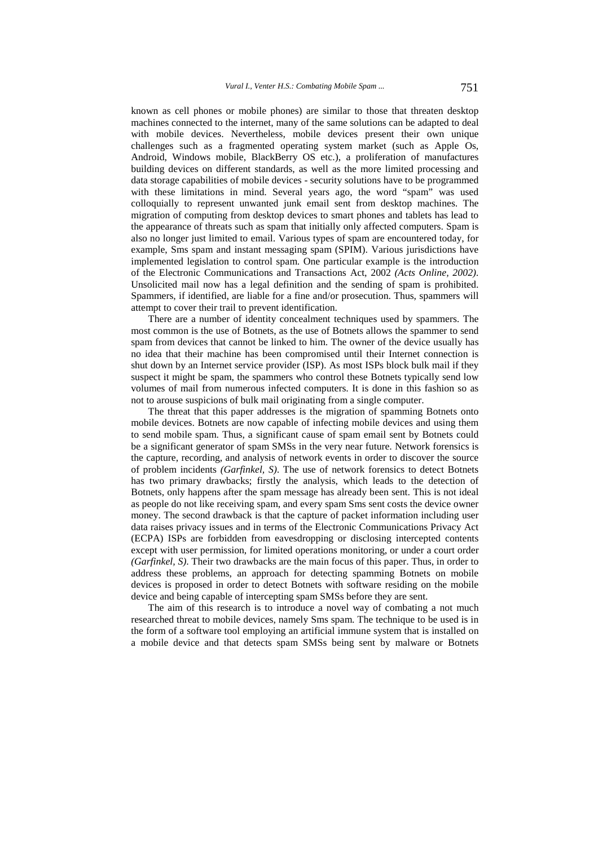known as cell phones or mobile phones) are similar to those that threaten desktop machines connected to the internet, many of the same solutions can be adapted to deal with mobile devices. Nevertheless, mobile devices present their own unique challenges such as a fragmented operating system market (such as Apple Os, Android, Windows mobile, BlackBerry OS etc.), a proliferation of manufactures building devices on different standards, as well as the more limited processing and data storage capabilities of mobile devices - security solutions have to be programmed with these limitations in mind. Several years ago, the word "spam" was used colloquially to represent unwanted junk email sent from desktop machines. The migration of computing from desktop devices to smart phones and tablets has lead to the appearance of threats such as spam that initially only affected computers. Spam is also no longer just limited to email. Various types of spam are encountered today, for example, Sms spam and instant messaging spam (SPIM). Various jurisdictions have implemented legislation to control spam. One particular example is the introduction of the Electronic Communications and Transactions Act, 2002 *(Acts Online, 2002)*. Unsolicited mail now has a legal definition and the sending of spam is prohibited. Spammers, if identified, are liable for a fine and/or prosecution. Thus, spammers will attempt to cover their trail to prevent identification.

There are a number of identity concealment techniques used by spammers. The most common is the use of Botnets, as the use of Botnets allows the spammer to send spam from devices that cannot be linked to him. The owner of the device usually has no idea that their machine has been compromised until their Internet connection is shut down by an Internet service provider (ISP). As most ISPs block bulk mail if they suspect it might be spam, the spammers who control these Botnets typically send low volumes of mail from numerous infected computers. It is done in this fashion so as not to arouse suspicions of bulk mail originating from a single computer.

The threat that this paper addresses is the migration of spamming Botnets onto mobile devices. Botnets are now capable of infecting mobile devices and using them to send mobile spam. Thus, a significant cause of spam email sent by Botnets could be a significant generator of spam SMSs in the very near future. Network forensics is the capture, recording, and analysis of network events in order to discover the source of problem incidents *(Garfinkel, S)*. The use of network forensics to detect Botnets has two primary drawbacks; firstly the analysis, which leads to the detection of Botnets, only happens after the spam message has already been sent. This is not ideal as people do not like receiving spam, and every spam Sms sent costs the device owner money. The second drawback is that the capture of packet information including user data raises privacy issues and in terms of the Electronic Communications Privacy Act (ECPA) ISPs are forbidden from eavesdropping or disclosing intercepted contents except with user permission, for limited operations monitoring, or under a court order *(Garfinkel, S)*. Their two drawbacks are the main focus of this paper. Thus, in order to address these problems, an approach for detecting spamming Botnets on mobile devices is proposed in order to detect Botnets with software residing on the mobile device and being capable of intercepting spam SMSs before they are sent.

The aim of this research is to introduce a novel way of combating a not much researched threat to mobile devices, namely Sms spam. The technique to be used is in the form of a software tool employing an artificial immune system that is installed on a mobile device and that detects spam SMSs being sent by malware or Botnets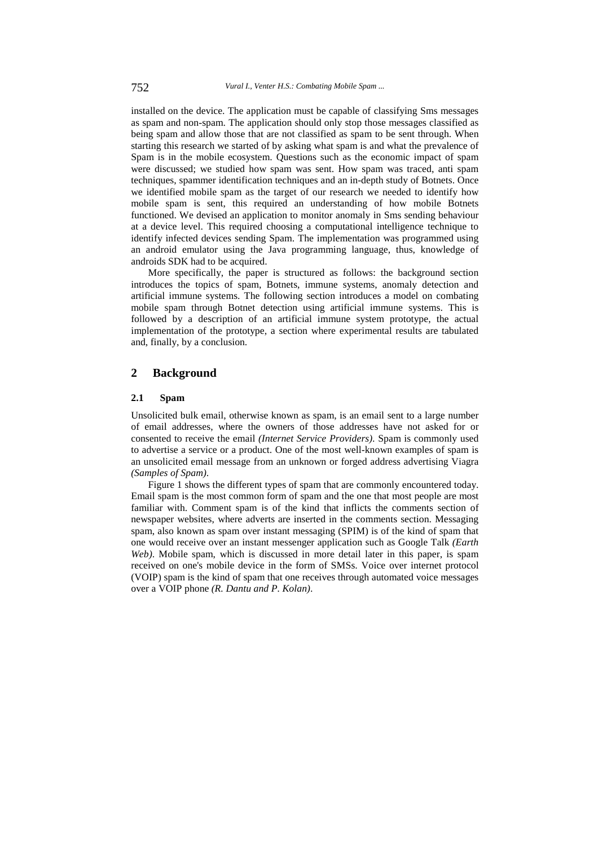installed on the device. The application must be capable of classifying Sms messages as spam and non-spam. The application should only stop those messages classified as being spam and allow those that are not classified as spam to be sent through. When starting this research we started of by asking what spam is and what the prevalence of Spam is in the mobile ecosystem. Questions such as the economic impact of spam were discussed; we studied how spam was sent. How spam was traced, anti spam techniques, spammer identification techniques and an in-depth study of Botnets. Once we identified mobile spam as the target of our research we needed to identify how mobile spam is sent, this required an understanding of how mobile Botnets functioned. We devised an application to monitor anomaly in Sms sending behaviour at a device level. This required choosing a computational intelligence technique to identify infected devices sending Spam. The implementation was programmed using an android emulator using the Java programming language, thus, knowledge of androids SDK had to be acquired.

More specifically, the paper is structured as follows: the background section introduces the topics of spam, Botnets, immune systems, anomaly detection and artificial immune systems. The following section introduces a model on combating mobile spam through Botnet detection using artificial immune systems. This is followed by a description of an artificial immune system prototype, the actual implementation of the prototype, a section where experimental results are tabulated and, finally, by a conclusion.

## **2 Background**

#### **2.1 Spam**

Unsolicited bulk email, otherwise known as spam, is an email sent to a large number of email addresses, where the owners of those addresses have not asked for or consented to receive the email *(Internet Service Providers)*. Spam is commonly used to advertise a service or a product. One of the most well-known examples of spam is an unsolicited email message from an unknown or forged address advertising Viagra *(Samples of Spam)*.

Figure 1 shows the different types of spam that are commonly encountered today. Email spam is the most common form of spam and the one that most people are most familiar with. Comment spam is of the kind that inflicts the comments section of newspaper websites, where adverts are inserted in the comments section. Messaging spam, also known as spam over instant messaging (SPIM) is of the kind of spam that one would receive over an instant messenger application such as Google Talk *(Earth Web)*. Mobile spam, which is discussed in more detail later in this paper, is spam received on one's mobile device in the form of SMSs. Voice over internet protocol (VOIP) spam is the kind of spam that one receives through automated voice messages over a VOIP phone *(R. Dantu and P. Kolan)*.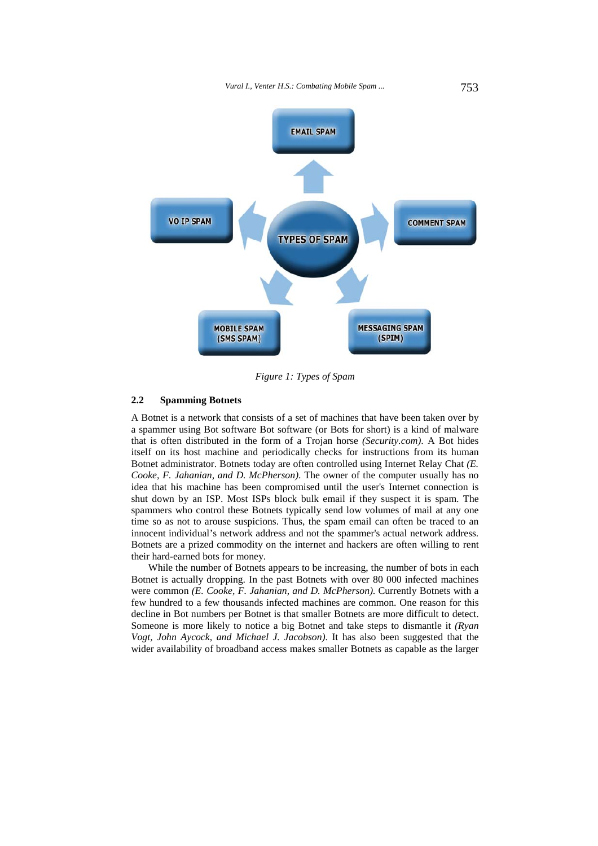

*Figure 1: Types of Spam* 

### **2.2 Spamming Botnets**

A Botnet is a network that consists of a set of machines that have been taken over by a spammer using Bot software Bot software (or Bots for short) is a kind of malware that is often distributed in the form of a Trojan horse *(Security.com)*. A Bot hides itself on its host machine and periodically checks for instructions from its human Botnet administrator. Botnets today are often controlled using Internet Relay Chat *(E. Cooke, F. Jahanian, and D. McPherson)*. The owner of the computer usually has no idea that his machine has been compromised until the user's Internet connection is shut down by an ISP. Most ISPs block bulk email if they suspect it is spam. The spammers who control these Botnets typically send low volumes of mail at any one time so as not to arouse suspicions. Thus, the spam email can often be traced to an innocent individual's network address and not the spammer's actual network address. Botnets are a prized commodity on the internet and hackers are often willing to rent their hard-earned bots for money.

While the number of Botnets appears to be increasing, the number of bots in each Botnet is actually dropping. In the past Botnets with over 80 000 infected machines were common *(E. Cooke, F. Jahanian, and D. McPherson)*. Currently Botnets with a few hundred to a few thousands infected machines are common. One reason for this decline in Bot numbers per Botnet is that smaller Botnets are more difficult to detect. Someone is more likely to notice a big Botnet and take steps to dismantle it *(Ryan Vogt, John Aycock, and Michael J. Jacobson)*. It has also been suggested that the wider availability of broadband access makes smaller Botnets as capable as the larger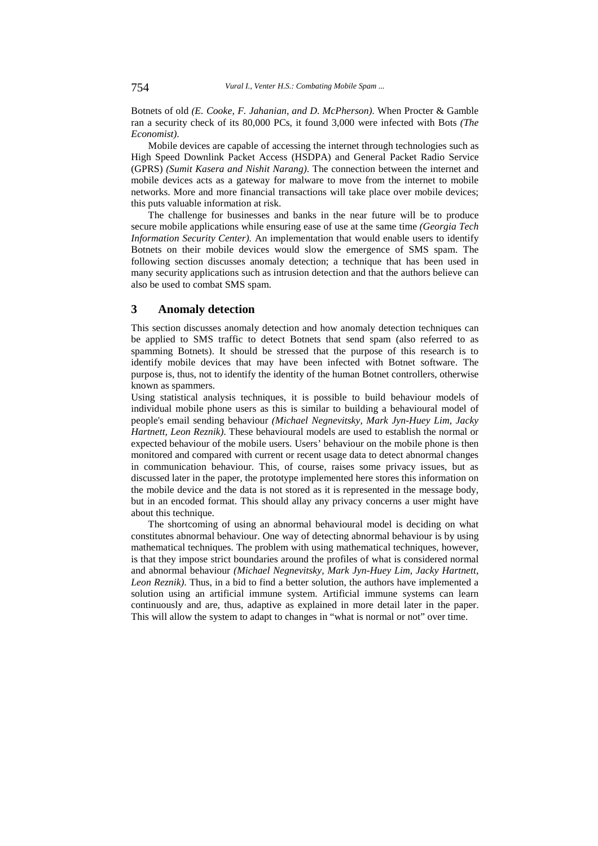Botnets of old *(E. Cooke, F. Jahanian, and D. McPherson)*. When Procter & Gamble ran a security check of its 80,000 PCs, it found 3,000 were infected with Bots *(The Economist)*.

Mobile devices are capable of accessing the internet through technologies such as High Speed Downlink Packet Access (HSDPA) and General Packet Radio Service (GPRS) *(Sumit Kasera and Nishit Narang)*. The connection between the internet and mobile devices acts as a gateway for malware to move from the internet to mobile networks. More and more financial transactions will take place over mobile devices; this puts valuable information at risk.

The challenge for businesses and banks in the near future will be to produce secure mobile applications while ensuring ease of use at the same time *(Georgia Tech Information Security Center)*. An implementation that would enable users to identify Botnets on their mobile devices would slow the emergence of SMS spam. The following section discusses anomaly detection; a technique that has been used in many security applications such as intrusion detection and that the authors believe can also be used to combat SMS spam.

### **3 Anomaly detection**

This section discusses anomaly detection and how anomaly detection techniques can be applied to SMS traffic to detect Botnets that send spam (also referred to as spamming Botnets). It should be stressed that the purpose of this research is to identify mobile devices that may have been infected with Botnet software. The purpose is, thus, not to identify the identity of the human Botnet controllers, otherwise known as spammers.

Using statistical analysis techniques, it is possible to build behaviour models of individual mobile phone users as this is similar to building a behavioural model of people's email sending behaviour *(Michael Negnevitsky, Mark Jyn-Huey Lim, Jacky Hartnett, Leon Reznik)*. These behavioural models are used to establish the normal or expected behaviour of the mobile users. Users' behaviour on the mobile phone is then monitored and compared with current or recent usage data to detect abnormal changes in communication behaviour. This, of course, raises some privacy issues, but as discussed later in the paper, the prototype implemented here stores this information on the mobile device and the data is not stored as it is represented in the message body, but in an encoded format. This should allay any privacy concerns a user might have about this technique.

The shortcoming of using an abnormal behavioural model is deciding on what constitutes abnormal behaviour. One way of detecting abnormal behaviour is by using mathematical techniques. The problem with using mathematical techniques, however, is that they impose strict boundaries around the profiles of what is considered normal and abnormal behaviour *(Michael Negnevitsky, Mark Jyn-Huey Lim, Jacky Hartnett, Leon Reznik)*. Thus, in a bid to find a better solution, the authors have implemented a solution using an artificial immune system. Artificial immune systems can learn continuously and are, thus, adaptive as explained in more detail later in the paper. This will allow the system to adapt to changes in "what is normal or not" over time.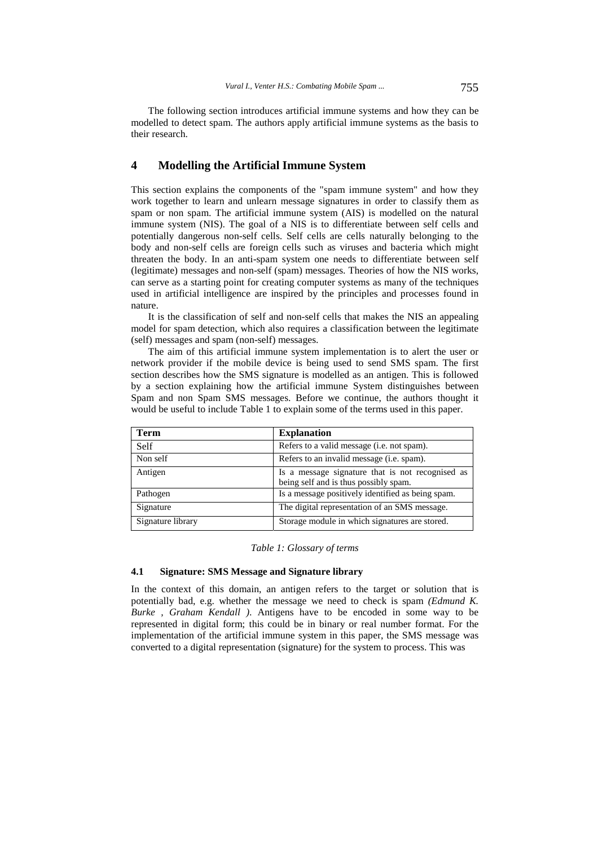The following section introduces artificial immune systems and how they can be modelled to detect spam. The authors apply artificial immune systems as the basis to their research.

# **4 Modelling the Artificial Immune System**

This section explains the components of the "spam immune system" and how they work together to learn and unlearn message signatures in order to classify them as spam or non spam. The artificial immune system (AIS) is modelled on the natural immune system (NIS). The goal of a NIS is to differentiate between self cells and potentially dangerous non-self cells. Self cells are cells naturally belonging to the body and non-self cells are foreign cells such as viruses and bacteria which might threaten the body. In an anti-spam system one needs to differentiate between self (legitimate) messages and non-self (spam) messages. Theories of how the NIS works, can serve as a starting point for creating computer systems as many of the techniques used in artificial intelligence are inspired by the principles and processes found in nature.

It is the classification of self and non-self cells that makes the NIS an appealing model for spam detection, which also requires a classification between the legitimate (self) messages and spam (non-self) messages.

The aim of this artificial immune system implementation is to alert the user or network provider if the mobile device is being used to send SMS spam. The first section describes how the SMS signature is modelled as an antigen. This is followed by a section explaining how the artificial immune System distinguishes between Spam and non Spam SMS messages. Before we continue, the authors thought it would be useful to include Table 1 to explain some of the terms used in this paper.

| Term              | <b>Explanation</b>                                                                        |
|-------------------|-------------------------------------------------------------------------------------------|
| Self              | Refers to a valid message ( <i>i.e.</i> not spam).                                        |
| Non self          | Refers to an invalid message ( <i>i.e.</i> spam).                                         |
| Antigen           | Is a message signature that is not recognised as<br>being self and is thus possibly spam. |
| Pathogen          | Is a message positively identified as being spam.                                         |
| Signature         | The digital representation of an SMS message.                                             |
| Signature library | Storage module in which signatures are stored.                                            |

#### *Table 1: Glossary of terms*

#### **4.1 Signature: SMS Message and Signature library**

In the context of this domain, an antigen refers to the target or solution that is potentially bad, e.g. whether the message we need to check is spam *(Edmund K. Burke , Graham Kendall )*. Antigens have to be encoded in some way to be represented in digital form; this could be in binary or real number format. For the implementation of the artificial immune system in this paper, the SMS message was converted to a digital representation (signature) for the system to process. This was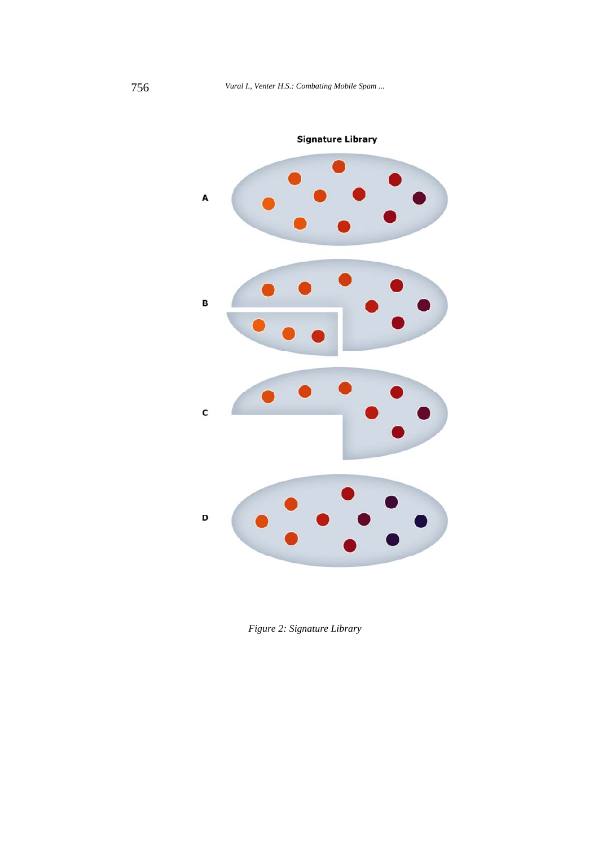

*Figure 2: Signature Library*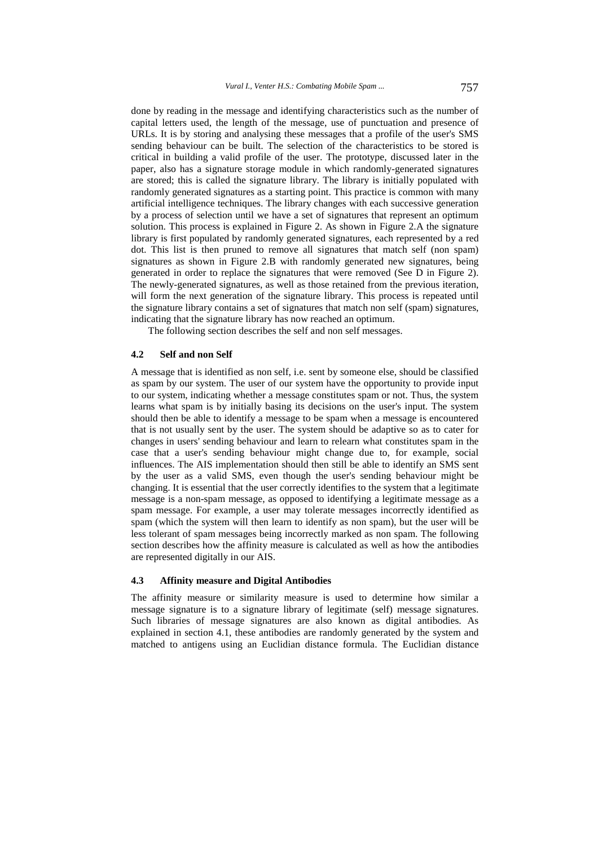done by reading in the message and identifying characteristics such as the number of capital letters used, the length of the message, use of punctuation and presence of URLs. It is by storing and analysing these messages that a profile of the user's SMS sending behaviour can be built. The selection of the characteristics to be stored is critical in building a valid profile of the user. The prototype, discussed later in the paper, also has a signature storage module in which randomly-generated signatures are stored; this is called the signature library. The library is initially populated with randomly generated signatures as a starting point. This practice is common with many artificial intelligence techniques. The library changes with each successive generation by a process of selection until we have a set of signatures that represent an optimum solution. This process is explained in Figure 2. As shown in Figure 2.A the signature library is first populated by randomly generated signatures, each represented by a red dot. This list is then pruned to remove all signatures that match self (non spam) signatures as shown in Figure 2.B with randomly generated new signatures, being generated in order to replace the signatures that were removed (See D in Figure 2). The newly-generated signatures, as well as those retained from the previous iteration, will form the next generation of the signature library. This process is repeated until the signature library contains a set of signatures that match non self (spam) signatures, indicating that the signature library has now reached an optimum.

The following section describes the self and non self messages.

#### **4.2 Self and non Self**

A message that is identified as non self, i.e. sent by someone else, should be classified as spam by our system. The user of our system have the opportunity to provide input to our system, indicating whether a message constitutes spam or not. Thus, the system learns what spam is by initially basing its decisions on the user's input. The system should then be able to identify a message to be spam when a message is encountered that is not usually sent by the user. The system should be adaptive so as to cater for changes in users' sending behaviour and learn to relearn what constitutes spam in the case that a user's sending behaviour might change due to, for example, social influences. The AIS implementation should then still be able to identify an SMS sent by the user as a valid SMS, even though the user's sending behaviour might be changing. It is essential that the user correctly identifies to the system that a legitimate message is a non-spam message, as opposed to identifying a legitimate message as a spam message. For example, a user may tolerate messages incorrectly identified as spam (which the system will then learn to identify as non spam), but the user will be less tolerant of spam messages being incorrectly marked as non spam. The following section describes how the affinity measure is calculated as well as how the antibodies are represented digitally in our AIS.

### **4.3 Affinity measure and Digital Antibodies**

The affinity measure or similarity measure is used to determine how similar a message signature is to a signature library of legitimate (self) message signatures. Such libraries of message signatures are also known as digital antibodies. As explained in section 4.1, these antibodies are randomly generated by the system and matched to antigens using an Euclidian distance formula. The Euclidian distance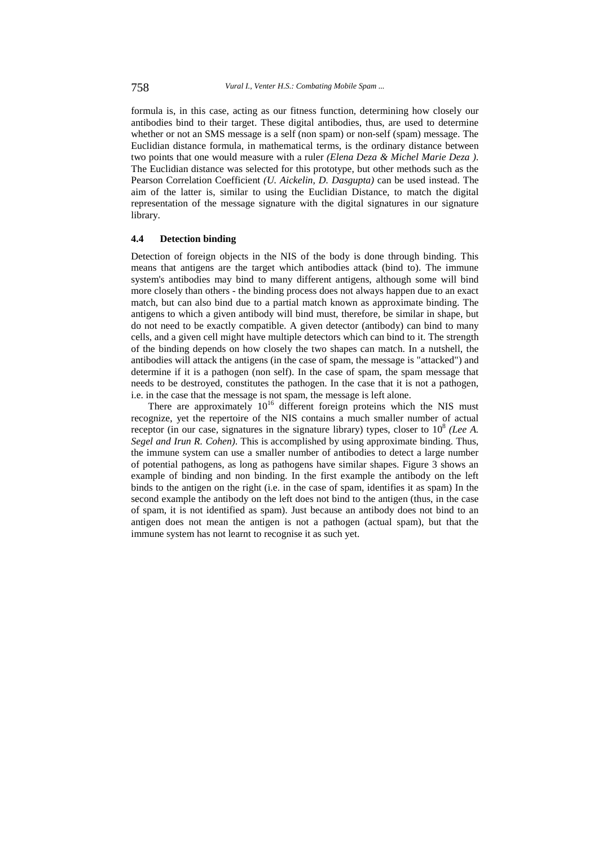formula is, in this case, acting as our fitness function, determining how closely our antibodies bind to their target. These digital antibodies, thus, are used to determine whether or not an SMS message is a self (non spam) or non-self (spam) message. The Euclidian distance formula, in mathematical terms, is the ordinary distance between two points that one would measure with a ruler *(Elena Deza & Michel Marie Deza )*. The Euclidian distance was selected for this prototype, but other methods such as the Pearson Correlation Coefficient *(U. Aickelin, D. Dasgupta)* can be used instead. The aim of the latter is, similar to using the Euclidian Distance, to match the digital representation of the message signature with the digital signatures in our signature library.

#### **4.4 Detection binding**

Detection of foreign objects in the NIS of the body is done through binding. This means that antigens are the target which antibodies attack (bind to). The immune system's antibodies may bind to many different antigens, although some will bind more closely than others - the binding process does not always happen due to an exact match, but can also bind due to a partial match known as approximate binding. The antigens to which a given antibody will bind must, therefore, be similar in shape, but do not need to be exactly compatible. A given detector (antibody) can bind to many cells, and a given cell might have multiple detectors which can bind to it. The strength of the binding depends on how closely the two shapes can match. In a nutshell, the antibodies will attack the antigens (in the case of spam, the message is "attacked") and determine if it is a pathogen (non self). In the case of spam, the spam message that needs to be destroyed, constitutes the pathogen. In the case that it is not a pathogen, i.e. in the case that the message is not spam, the message is left alone.

There are approximately  $10^{16}$  different foreign proteins which the NIS must recognize, yet the repertoire of the NIS contains a much smaller number of actual receptor (in our case, signatures in the signature library) types, closer to  $10^8$  *(Lee A.*) *Segel and Irun R. Cohen)*. This is accomplished by using approximate binding. Thus, the immune system can use a smaller number of antibodies to detect a large number of potential pathogens, as long as pathogens have similar shapes. Figure 3 shows an example of binding and non binding. In the first example the antibody on the left binds to the antigen on the right (i.e. in the case of spam, identifies it as spam) In the second example the antibody on the left does not bind to the antigen (thus, in the case of spam, it is not identified as spam). Just because an antibody does not bind to an antigen does not mean the antigen is not a pathogen (actual spam), but that the immune system has not learnt to recognise it as such yet.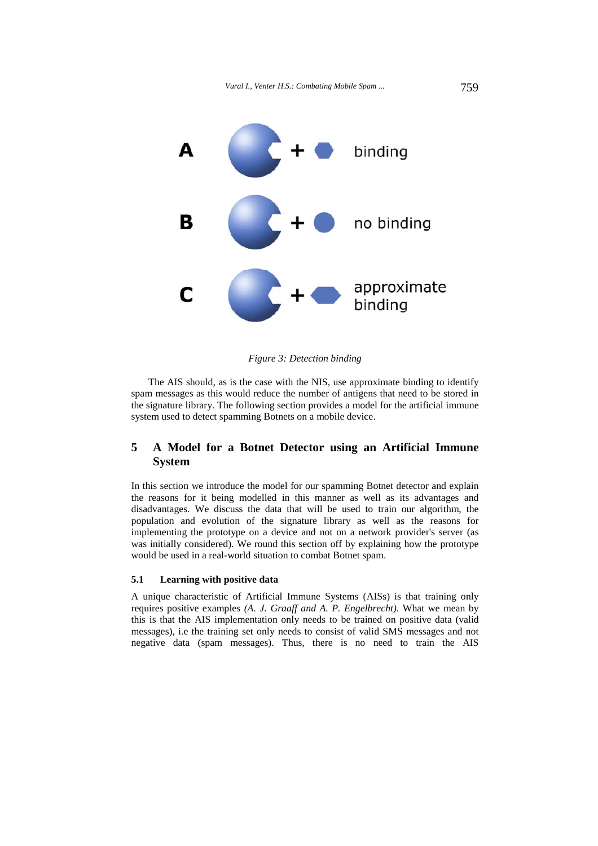

*Figure 3: Detection binding* 

The AIS should, as is the case with the NIS, use approximate binding to identify spam messages as this would reduce the number of antigens that need to be stored in the signature library. The following section provides a model for the artificial immune system used to detect spamming Botnets on a mobile device.

# **5 A Model for a Botnet Detector using an Artificial Immune System**

In this section we introduce the model for our spamming Botnet detector and explain the reasons for it being modelled in this manner as well as its advantages and disadvantages. We discuss the data that will be used to train our algorithm, the population and evolution of the signature library as well as the reasons for implementing the prototype on a device and not on a network provider's server (as was initially considered). We round this section off by explaining how the prototype would be used in a real-world situation to combat Botnet spam.

### **5.1 Learning with positive data**

A unique characteristic of Artificial Immune Systems (AISs) is that training only requires positive examples *(A. J. Graaff and A. P. Engelbrecht)*. What we mean by this is that the AIS implementation only needs to be trained on positive data (valid messages), i.e the training set only needs to consist of valid SMS messages and not negative data (spam messages). Thus, there is no need to train the AIS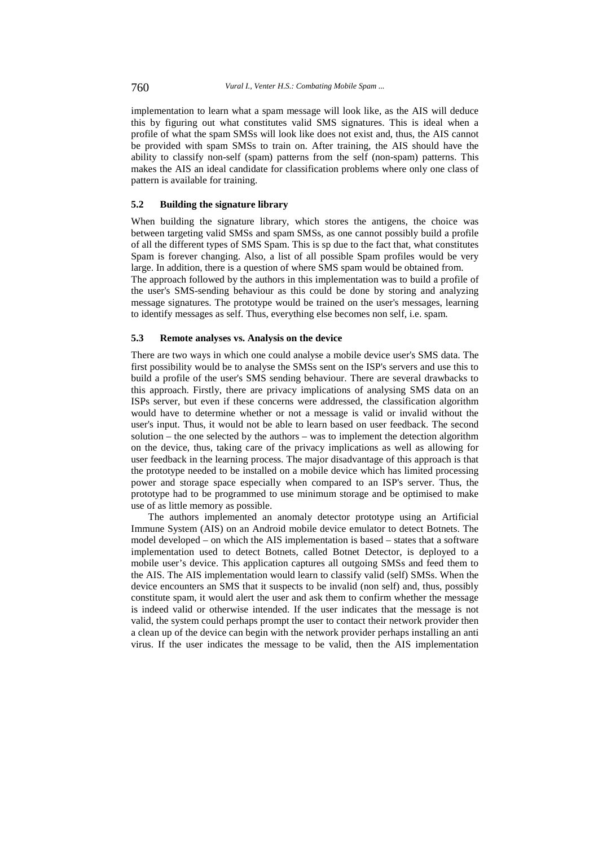implementation to learn what a spam message will look like, as the AIS will deduce this by figuring out what constitutes valid SMS signatures. This is ideal when a profile of what the spam SMSs will look like does not exist and, thus, the AIS cannot be provided with spam SMSs to train on. After training, the AIS should have the ability to classify non-self (spam) patterns from the self (non-spam) patterns. This makes the AIS an ideal candidate for classification problems where only one class of pattern is available for training.

#### **5.2 Building the signature library**

When building the signature library, which stores the antigens, the choice was between targeting valid SMSs and spam SMSs, as one cannot possibly build a profile of all the different types of SMS Spam. This is sp due to the fact that, what constitutes Spam is forever changing. Also, a list of all possible Spam profiles would be very large. In addition, there is a question of where SMS spam would be obtained from.

The approach followed by the authors in this implementation was to build a profile of the user's SMS-sending behaviour as this could be done by storing and analyzing message signatures. The prototype would be trained on the user's messages, learning to identify messages as self. Thus, everything else becomes non self, i.e. spam.

### **5.3 Remote analyses vs. Analysis on the device**

There are two ways in which one could analyse a mobile device user's SMS data. The first possibility would be to analyse the SMSs sent on the ISP's servers and use this to build a profile of the user's SMS sending behaviour. There are several drawbacks to this approach. Firstly, there are privacy implications of analysing SMS data on an ISPs server, but even if these concerns were addressed, the classification algorithm would have to determine whether or not a message is valid or invalid without the user's input. Thus, it would not be able to learn based on user feedback. The second solution – the one selected by the authors – was to implement the detection algorithm on the device, thus, taking care of the privacy implications as well as allowing for user feedback in the learning process. The major disadvantage of this approach is that the prototype needed to be installed on a mobile device which has limited processing power and storage space especially when compared to an ISP's server. Thus, the prototype had to be programmed to use minimum storage and be optimised to make use of as little memory as possible.

The authors implemented an anomaly detector prototype using an Artificial Immune System (AIS) on an Android mobile device emulator to detect Botnets. The model developed – on which the AIS implementation is based – states that a software implementation used to detect Botnets, called Botnet Detector, is deployed to a mobile user's device. This application captures all outgoing SMSs and feed them to the AIS. The AIS implementation would learn to classify valid (self) SMSs. When the device encounters an SMS that it suspects to be invalid (non self) and, thus, possibly constitute spam, it would alert the user and ask them to confirm whether the message is indeed valid or otherwise intended. If the user indicates that the message is not valid, the system could perhaps prompt the user to contact their network provider then a clean up of the device can begin with the network provider perhaps installing an anti virus. If the user indicates the message to be valid, then the AIS implementation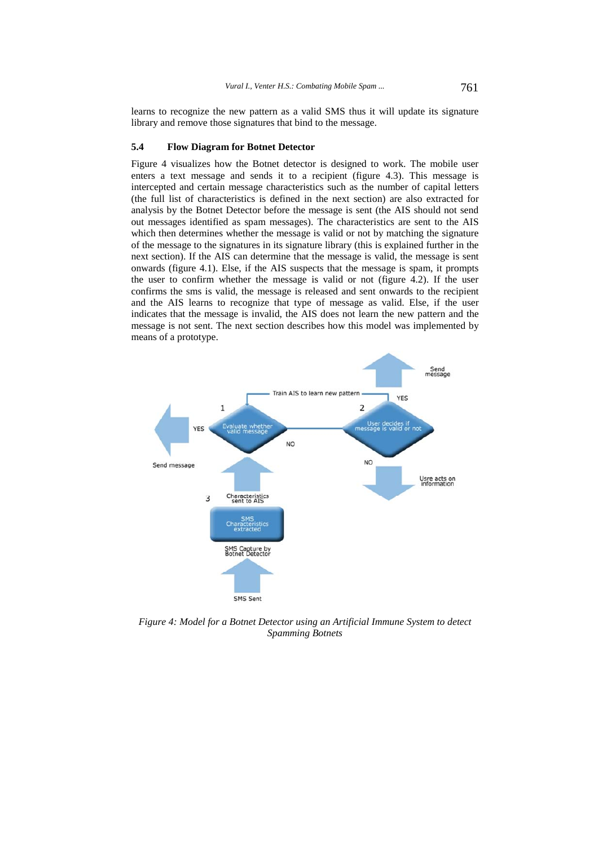learns to recognize the new pattern as a valid SMS thus it will update its signature library and remove those signatures that bind to the message.

#### **5.4 Flow Diagram for Botnet Detector**

Figure 4 visualizes how the Botnet detector is designed to work. The mobile user enters a text message and sends it to a recipient (figure 4.3). This message is intercepted and certain message characteristics such as the number of capital letters (the full list of characteristics is defined in the next section) are also extracted for analysis by the Botnet Detector before the message is sent (the AIS should not send out messages identified as spam messages). The characteristics are sent to the AIS which then determines whether the message is valid or not by matching the signature of the message to the signatures in its signature library (this is explained further in the next section). If the AIS can determine that the message is valid, the message is sent onwards (figure 4.1). Else, if the AIS suspects that the message is spam, it prompts the user to confirm whether the message is valid or not (figure 4.2). If the user confirms the sms is valid, the message is released and sent onwards to the recipient and the AIS learns to recognize that type of message as valid. Else, if the user indicates that the message is invalid, the AIS does not learn the new pattern and the message is not sent. The next section describes how this model was implemented by means of a prototype.



*Figure 4: Model for a Botnet Detector using an Artificial Immune System to detect Spamming Botnets*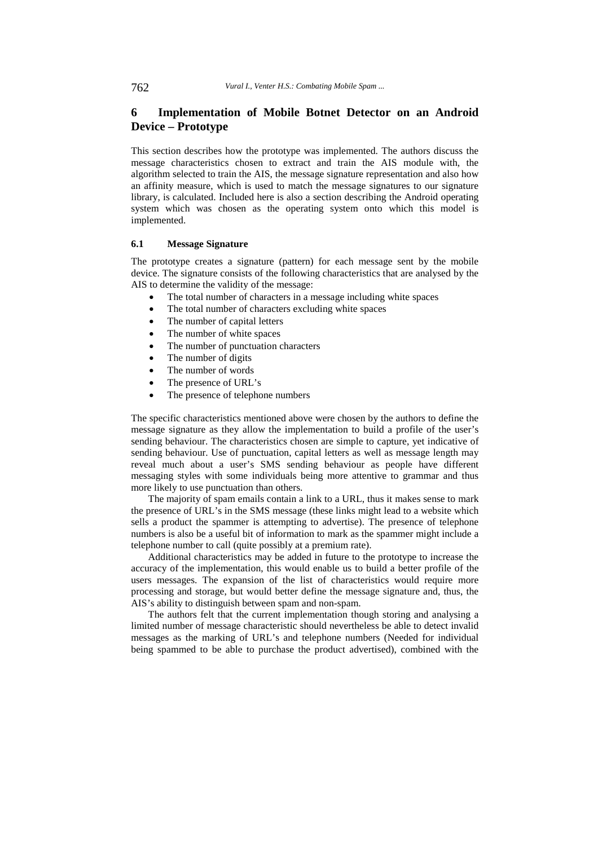# **6 Implementation of Mobile Botnet Detector on an Android Device – Prototype**

This section describes how the prototype was implemented. The authors discuss the message characteristics chosen to extract and train the AIS module with, the algorithm selected to train the AIS, the message signature representation and also how an affinity measure, which is used to match the message signatures to our signature library, is calculated. Included here is also a section describing the Android operating system which was chosen as the operating system onto which this model is implemented.

### **6.1 Message Signature**

The prototype creates a signature (pattern) for each message sent by the mobile device. The signature consists of the following characteristics that are analysed by the AIS to determine the validity of the message:

- The total number of characters in a message including white spaces
- The total number of characters excluding white spaces
- The number of capital letters
- The number of white spaces
- The number of punctuation characters
- The number of digits
- The number of words
- The presence of URL's
- The presence of telephone numbers

The specific characteristics mentioned above were chosen by the authors to define the message signature as they allow the implementation to build a profile of the user's sending behaviour. The characteristics chosen are simple to capture, yet indicative of sending behaviour. Use of punctuation, capital letters as well as message length may reveal much about a user's SMS sending behaviour as people have different messaging styles with some individuals being more attentive to grammar and thus more likely to use punctuation than others.

The majority of spam emails contain a link to a URL, thus it makes sense to mark the presence of URL's in the SMS message (these links might lead to a website which sells a product the spammer is attempting to advertise). The presence of telephone numbers is also be a useful bit of information to mark as the spammer might include a telephone number to call (quite possibly at a premium rate).

Additional characteristics may be added in future to the prototype to increase the accuracy of the implementation, this would enable us to build a better profile of the users messages. The expansion of the list of characteristics would require more processing and storage, but would better define the message signature and, thus, the AIS's ability to distinguish between spam and non-spam.

The authors felt that the current implementation though storing and analysing a limited number of message characteristic should nevertheless be able to detect invalid messages as the marking of URL's and telephone numbers (Needed for individual being spammed to be able to purchase the product advertised), combined with the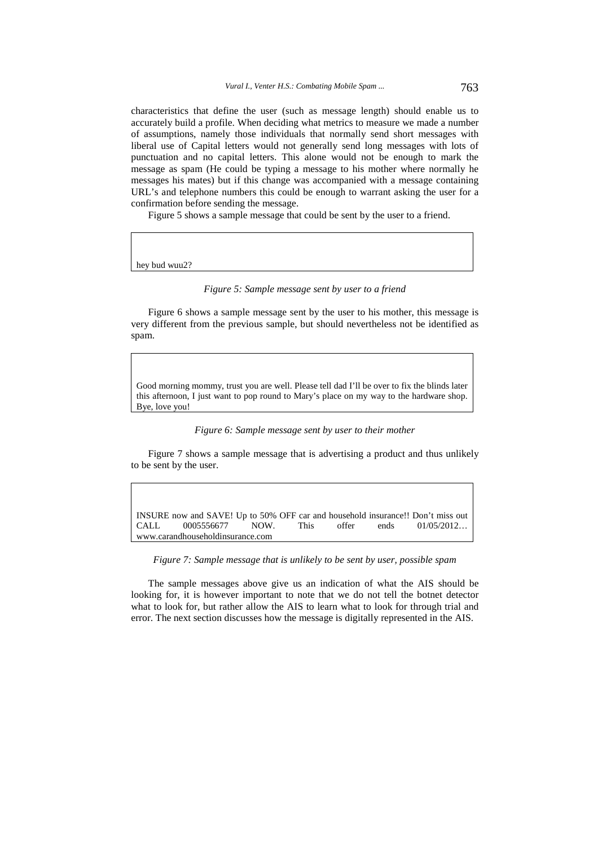characteristics that define the user (such as message length) should enable us to accurately build a profile. When deciding what metrics to measure we made a number of assumptions, namely those individuals that normally send short messages with liberal use of Capital letters would not generally send long messages with lots of punctuation and no capital letters. This alone would not be enough to mark the message as spam (He could be typing a message to his mother where normally he messages his mates) but if this change was accompanied with a message containing URL's and telephone numbers this could be enough to warrant asking the user for a confirmation before sending the message.

Figure 5 shows a sample message that could be sent by the user to a friend.

hey bud wuu2?

#### *Figure 5: Sample message sent by user to a friend*

Figure 6 shows a sample message sent by the user to his mother, this message is very different from the previous sample, but should nevertheless not be identified as spam.

Good morning mommy, trust you are well. Please tell dad I'll be over to fix the blinds later this afternoon, I just want to pop round to Mary's place on my way to the hardware shop. Bye, love you!

#### *Figure 6: Sample message sent by user to their mother*

Figure 7 shows a sample message that is advertising a product and thus unlikely to be sent by the user.

INSURE now and SAVE! Up to 50% OFF car and household insurance!! Don't miss out CALL 0005556677 NOW. This offer ends 01/05/2012… www.carandhouseholdinsurance.com

*Figure 7: Sample message that is unlikely to be sent by user, possible spam*

The sample messages above give us an indication of what the AIS should be looking for, it is however important to note that we do not tell the botnet detector what to look for, but rather allow the AIS to learn what to look for through trial and error. The next section discusses how the message is digitally represented in the AIS.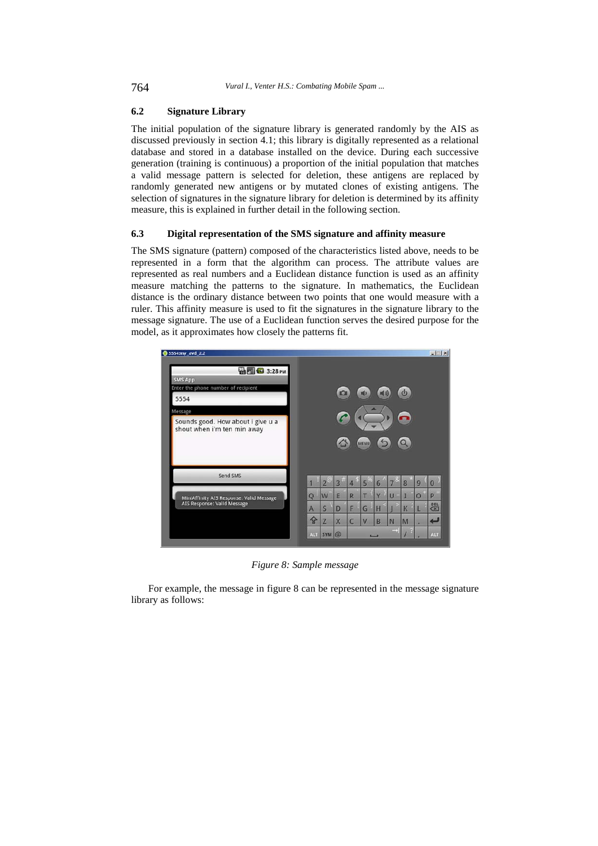### **6.2 Signature Library**

The initial population of the signature library is generated randomly by the AIS as discussed previously in section 4.1; this library is digitally represented as a relational database and stored in a database installed on the device. During each successive generation (training is continuous) a proportion of the initial population that matches a valid message pattern is selected for deletion, these antigens are replaced by randomly generated new antigens or by mutated clones of existing antigens. The selection of signatures in the signature library for deletion is determined by its affinity measure, this is explained in further detail in the following section.

### **6.3 Digital representation of the SMS signature and affinity measure**

The SMS signature (pattern) composed of the characteristics listed above, needs to be represented in a form that the algorithm can process. The attribute values are represented as real numbers and a Euclidean distance function is used as an affinity measure matching the patterns to the signature. In mathematics, the Euclidean distance is the ordinary distance between two points that one would measure with a ruler. This affinity measure is used to fit the signatures in the signature library to the message signature. The use of a Euclidean function serves the desired purpose for the model, as it approximates how closely the patterns fit.



*Figure 8: Sample message* 

For example, the message in figure 8 can be represented in the message signature library as follows: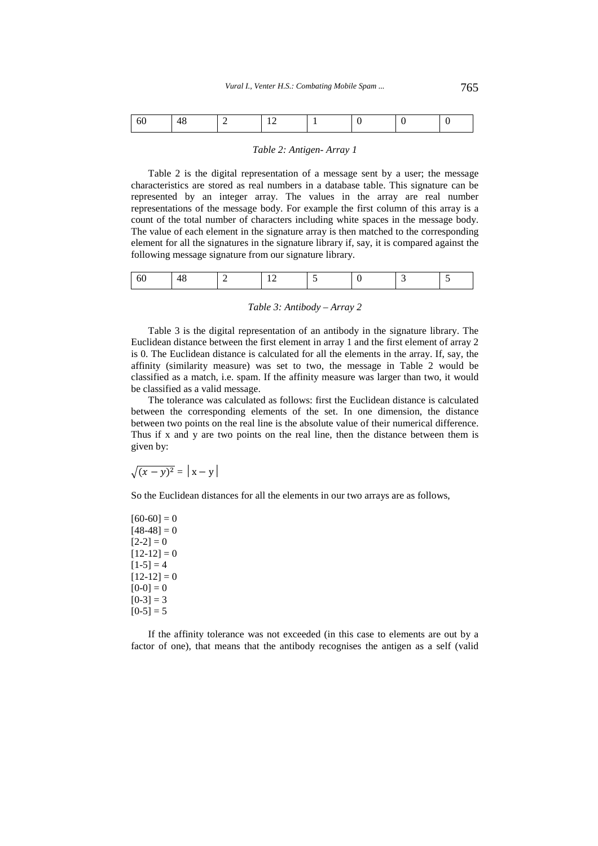|--|--|--|--|--|--|

#### *Table 2: Antigen- Array 1*

Table 2 is the digital representation of a message sent by a user; the message characteristics are stored as real numbers in a database table. This signature can be represented by an integer array. The values in the array are real number representations of the message body. For example the first column of this array is a count of the total number of characters including white spaces in the message body. The value of each element in the signature array is then matched to the corresponding element for all the signatures in the signature library if, say, it is compared against the following message signature from our signature library.

|  | JI. |  |  |  |  |  |  |  |
|--|-----|--|--|--|--|--|--|--|
|--|-----|--|--|--|--|--|--|--|

#### *Table 3: Antibody – Array 2*

Table 3 is the digital representation of an antibody in the signature library. The Euclidean distance between the first element in array 1 and the first element of array 2 is 0. The Euclidean distance is calculated for all the elements in the array. If, say, the affinity (similarity measure) was set to two, the message in Table 2 would be classified as a match, i.e. spam. If the affinity measure was larger than two, it would be classified as a valid message.

The tolerance was calculated as follows: first the Euclidean distance is calculated between the corresponding elements of the set. In one dimension, the distance between two points on the real line is the absolute value of their numerical difference. Thus if x and y are two points on the real line, then the distance between them is given by:

$$
\sqrt{(x-y)^2} = |x-y|
$$

So the Euclidean distances for all the elements in our two arrays are as follows,

 $[60-60] = 0$  $[48-48] = 0$  $[2-2] = 0$  $[12-12] = 0$  $[1-5] = 4$  $[12-12] = 0$  $[0-0] = 0$  $[0-3] = 3$  $[0-5] = 5$ 

If the affinity tolerance was not exceeded (in this case to elements are out by a factor of one), that means that the antibody recognises the antigen as a self (valid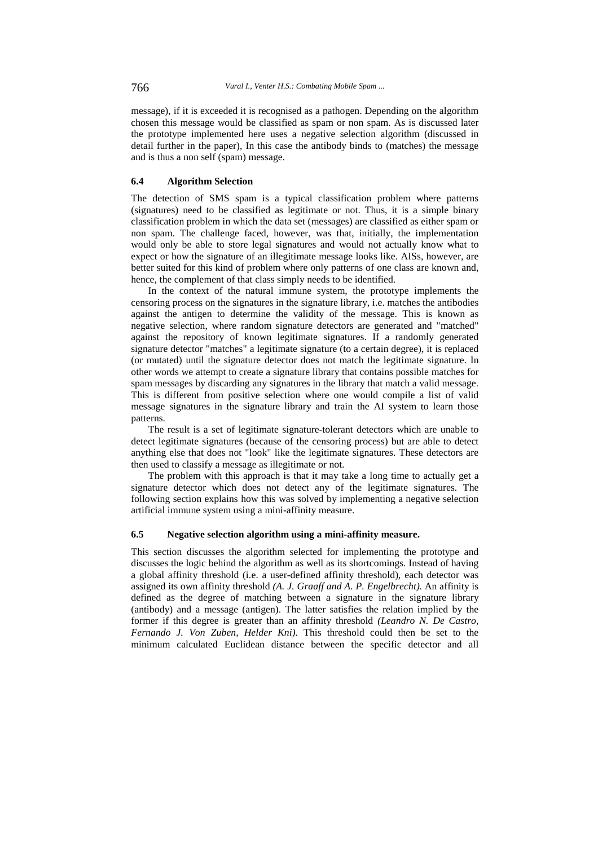message), if it is exceeded it is recognised as a pathogen. Depending on the algorithm chosen this message would be classified as spam or non spam. As is discussed later the prototype implemented here uses a negative selection algorithm (discussed in detail further in the paper), In this case the antibody binds to (matches) the message and is thus a non self (spam) message.

### **6.4 Algorithm Selection**

The detection of SMS spam is a typical classification problem where patterns (signatures) need to be classified as legitimate or not. Thus, it is a simple binary classification problem in which the data set (messages) are classified as either spam or non spam. The challenge faced, however, was that, initially, the implementation would only be able to store legal signatures and would not actually know what to expect or how the signature of an illegitimate message looks like. AISs, however, are better suited for this kind of problem where only patterns of one class are known and, hence, the complement of that class simply needs to be identified.

In the context of the natural immune system, the prototype implements the censoring process on the signatures in the signature library, i.e. matches the antibodies against the antigen to determine the validity of the message. This is known as negative selection, where random signature detectors are generated and "matched" against the repository of known legitimate signatures. If a randomly generated signature detector "matches" a legitimate signature (to a certain degree), it is replaced (or mutated) until the signature detector does not match the legitimate signature. In other words we attempt to create a signature library that contains possible matches for spam messages by discarding any signatures in the library that match a valid message. This is different from positive selection where one would compile a list of valid message signatures in the signature library and train the AI system to learn those patterns.

The result is a set of legitimate signature-tolerant detectors which are unable to detect legitimate signatures (because of the censoring process) but are able to detect anything else that does not "look" like the legitimate signatures. These detectors are then used to classify a message as illegitimate or not.

The problem with this approach is that it may take a long time to actually get a signature detector which does not detect any of the legitimate signatures. The following section explains how this was solved by implementing a negative selection artificial immune system using a mini-affinity measure.

### **6.5 Negative selection algorithm using a mini-affinity measure.**

This section discusses the algorithm selected for implementing the prototype and discusses the logic behind the algorithm as well as its shortcomings. Instead of having a global affinity threshold (i.e. a user-defined affinity threshold), each detector was assigned its own affinity threshold *(A. J. Graaff and A. P. Engelbrecht)*. An affinity is defined as the degree of matching between a signature in the signature library (antibody) and a message (antigen). The latter satisfies the relation implied by the former if this degree is greater than an affinity threshold *(Leandro N. De Castro, Fernando J. Von Zuben, Helder Kni)*. This threshold could then be set to the minimum calculated Euclidean distance between the specific detector and all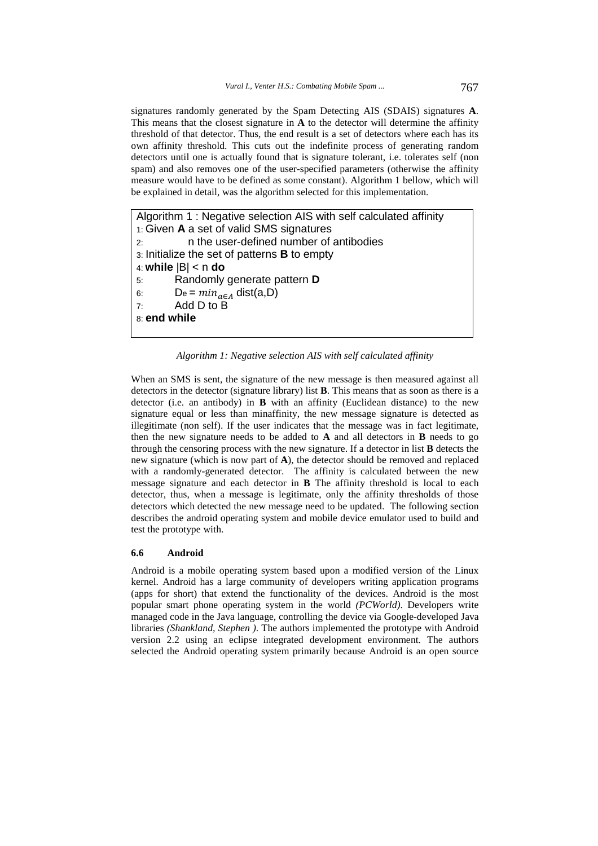signatures randomly generated by the Spam Detecting AIS (SDAIS) signatures **A**. This means that the closest signature in **A** to the detector will determine the affinity threshold of that detector. Thus, the end result is a set of detectors where each has its own affinity threshold. This cuts out the indefinite process of generating random detectors until one is actually found that is signature tolerant, i.e. tolerates self (non spam) and also removes one of the user-specified parameters (otherwise the affinity measure would have to be defined as some constant). Algorithm 1 bellow, which will be explained in detail, was the algorithm selected for this implementation.

```
Algorithm 1 : Negative selection AIS with self calculated affinity 
1: Given A a set of valid SMS signatures 
2: n the user-defined number of antibodies 
3: Initialize the set of patterns B to empty 
4: while |B| < n do
5: Randomly generate pattern D
6: De = min_{a \in A} dist(a,D)
7: Add D to B 
8: end while
```
*Algorithm 1: Negative selection AIS with self calculated affinity* 

When an SMS is sent, the signature of the new message is then measured against all detectors in the detector (signature library) list **B**. This means that as soon as there is a detector (i.e. an antibody) in **B** with an affinity (Euclidean distance) to the new signature equal or less than minaffinity, the new message signature is detected as illegitimate (non self). If the user indicates that the message was in fact legitimate, then the new signature needs to be added to **A** and all detectors in **B** needs to go through the censoring process with the new signature. If a detector in list **B** detects the new signature (which is now part of **A**), the detector should be removed and replaced with a randomly-generated detector. The affinity is calculated between the new message signature and each detector in **B** The affinity threshold is local to each detector, thus, when a message is legitimate, only the affinity thresholds of those detectors which detected the new message need to be updated. The following section describes the android operating system and mobile device emulator used to build and test the prototype with.

#### **6.6 Android**

Android is a mobile operating system based upon a modified version of the Linux kernel. Android has a large community of developers writing application programs (apps for short) that extend the functionality of the devices. Android is the most popular smart phone operating system in the world *(PCWorld)*. Developers write managed code in the Java language, controlling the device via Google-developed Java libraries *(Shankland, Stephen )*. The authors implemented the prototype with Android version 2.2 using an eclipse integrated development environment. The authors selected the Android operating system primarily because Android is an open source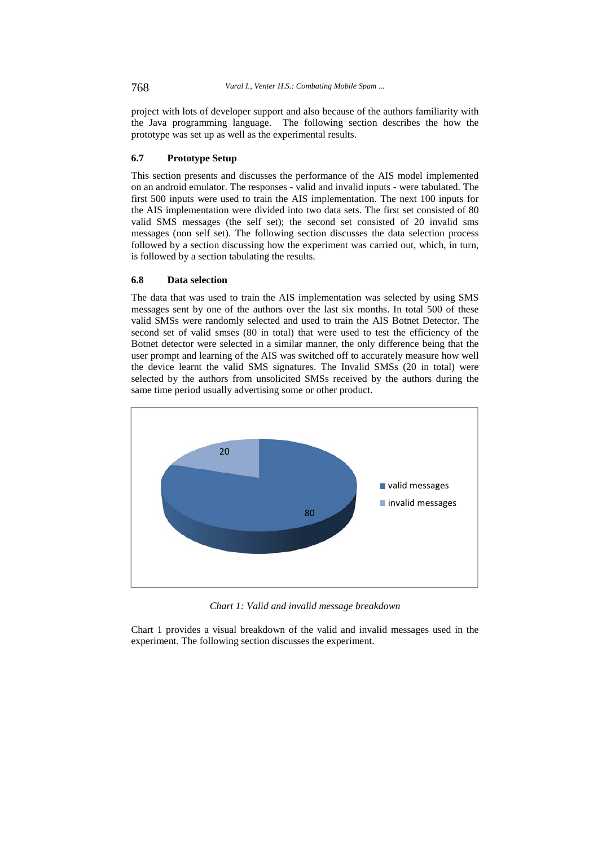project with lots of developer support and also because of the authors familiarity with the Java programming language. The following section describes the how the prototype was set up as well as the experimental results.

### **6.7 Prototype Setup**

This section presents and discusses the performance of the AIS model implemented on an android emulator. The responses - valid and invalid inputs - were tabulated. The first 500 inputs were used to train the AIS implementation. The next 100 inputs for the AIS implementation were divided into two data sets. The first set consisted of 80 valid SMS messages (the self set); the second set consisted of 20 invalid sms messages (non self set). The following section discusses the data selection process followed by a section discussing how the experiment was carried out, which, in turn, is followed by a section tabulating the results.

### **6.8 Data selection**

The data that was used to train the AIS implementation was selected by using SMS messages sent by one of the authors over the last six months. In total 500 of these valid SMSs were randomly selected and used to train the AIS Botnet Detector. The second set of valid smses (80 in total) that were used to test the efficiency of the Botnet detector were selected in a similar manner, the only difference being that the user prompt and learning of the AIS was switched off to accurately measure how well the device learnt the valid SMS signatures. The Invalid SMSs (20 in total) were selected by the authors from unsolicited SMSs received by the authors during the same time period usually advertising some or other product.



*Chart 1: Valid and invalid message breakdown* 

Chart 1 provides a visual breakdown of the valid and invalid messages used in the experiment. The following section discusses the experiment.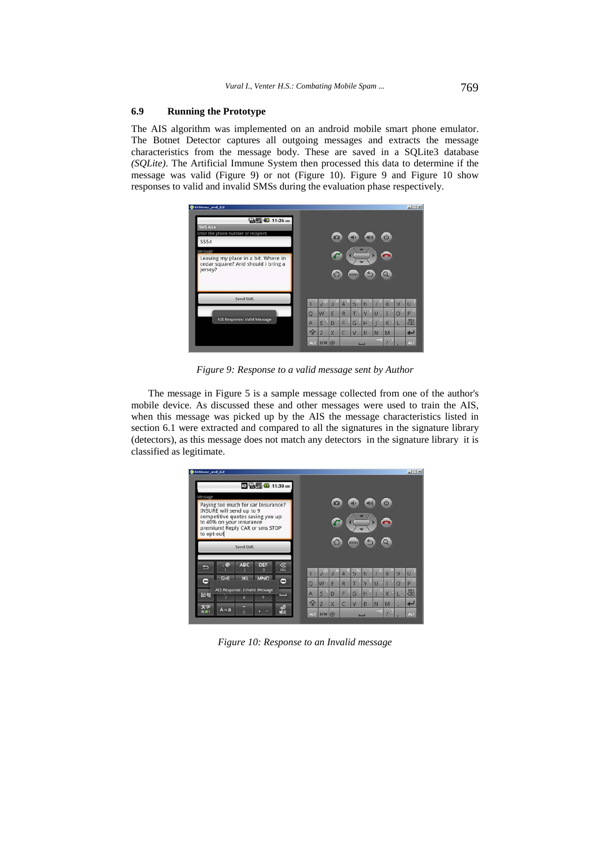### **6.9 Running the Prototype**

The AIS algorithm was implemented on an android mobile smart phone emulator. The Botnet Detector captures all outgoing messages and extracts the message characteristics from the message body. These are saved in a SQLite3 database *(SQLite)*. The Artificial Immune System then processed this data to determine if the message was valid (Figure 9) or not (Figure 10). Figure 9 and Figure 10 show responses to valid and invalid SMSs during the evaluation phase respectively.



*Figure 9: Response to a valid message sent by Author* 

The message in Figure 5 is a sample message collected from one of the author's mobile device. As discussed these and other messages were used to train the AIS, when this message was picked up by the AIS the message characteristics listed in section 6.1 were extracted and compared to all the signatures in the signature library (detectors), as this message does not match any detectors in the signature library it is classified as legitimate.



*Figure 10: Response to an Invalid message*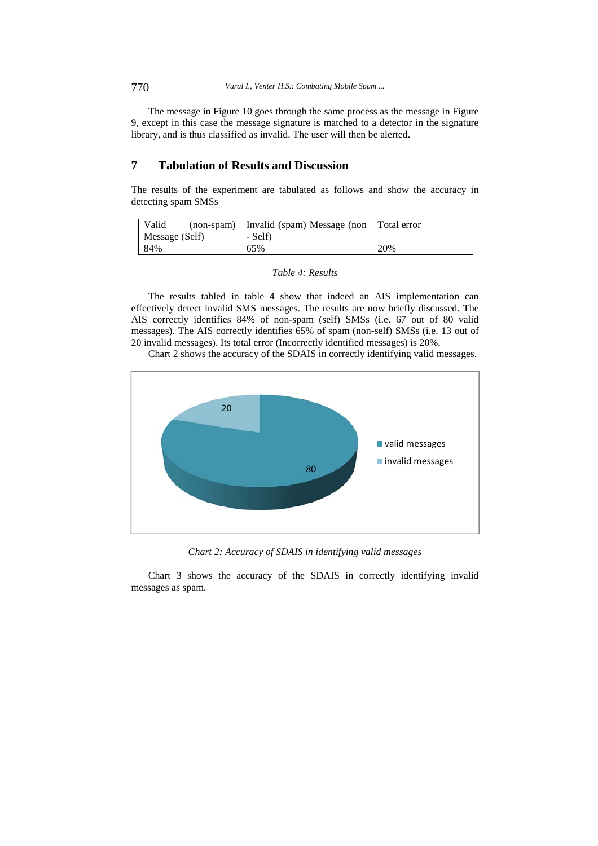The message in Figure 10 goes through the same process as the message in Figure 9, except in this case the message signature is matched to a detector in the signature library, and is thus classified as invalid. The user will then be alerted.

# **7 Tabulation of Results and Discussion**

The results of the experiment are tabulated as follows and show the accuracy in detecting spam SMSs

| Valid          | (non-spam) Invalid (spam) Message (non | Total error |
|----------------|----------------------------------------|-------------|
| Message (Self) | - Self)                                |             |
| 84%            | 65%                                    | 20%         |

|  |  | Table 4: Results |
|--|--|------------------|
|--|--|------------------|

The results tabled in table 4 show that indeed an AIS implementation can effectively detect invalid SMS messages. The results are now briefly discussed. The AIS correctly identifies 84% of non-spam (self) SMSs (i.e. 67 out of 80 valid messages). The AIS correctly identifies 65% of spam (non-self) SMSs (i.e. 13 out of 20 invalid messages). Its total error (Incorrectly identified messages) is 20%.

Chart 2 shows the accuracy of the SDAIS in correctly identifying valid messages.



*Chart 2: Accuracy of SDAIS in identifying valid messages* 

Chart 3 shows the accuracy of the SDAIS in correctly identifying invalid messages as spam.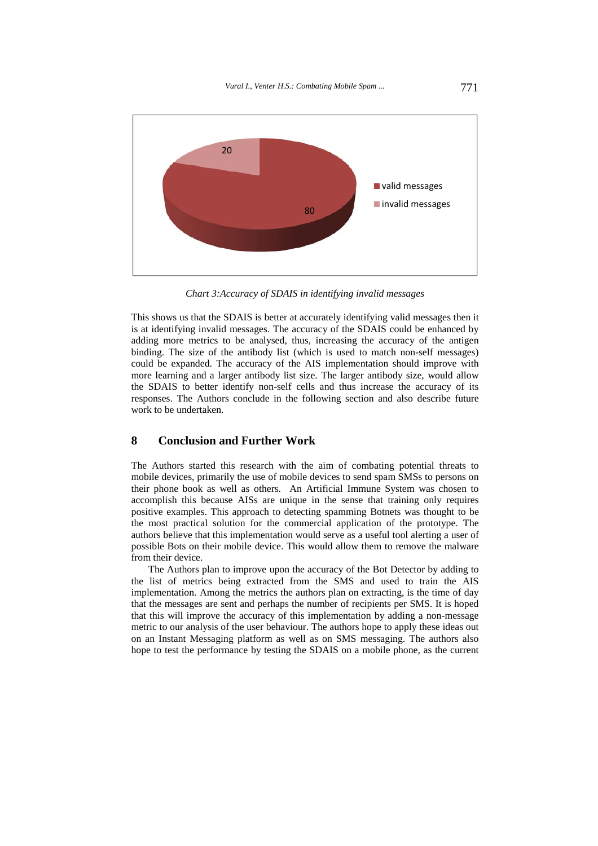

*Chart 3:Accuracy of SDAIS in identifying invalid messages* 

This shows us that the SDAIS is better at accurately identifying valid messages then it is at identifying invalid messages. The accuracy of the SDAIS could be enhanced by adding more metrics to be analysed, thus, increasing the accuracy of the antigen binding. The size of the antibody list (which is used to match non-self messages) could be expanded. The accuracy of the AIS implementation should improve with more learning and a larger antibody list size. The larger antibody size, would allow the SDAIS to better identify non-self cells and thus increase the accuracy of its responses. The Authors conclude in the following section and also describe future work to be undertaken.

### **8 Conclusion and Further Work**

The Authors started this research with the aim of combating potential threats to mobile devices, primarily the use of mobile devices to send spam SMSs to persons on their phone book as well as others. An Artificial Immune System was chosen to accomplish this because AISs are unique in the sense that training only requires positive examples. This approach to detecting spamming Botnets was thought to be the most practical solution for the commercial application of the prototype. The authors believe that this implementation would serve as a useful tool alerting a user of possible Bots on their mobile device. This would allow them to remove the malware from their device.

The Authors plan to improve upon the accuracy of the Bot Detector by adding to the list of metrics being extracted from the SMS and used to train the AIS implementation. Among the metrics the authors plan on extracting, is the time of day that the messages are sent and perhaps the number of recipients per SMS. It is hoped that this will improve the accuracy of this implementation by adding a non-message metric to our analysis of the user behaviour. The authors hope to apply these ideas out on an Instant Messaging platform as well as on SMS messaging. The authors also hope to test the performance by testing the SDAIS on a mobile phone, as the current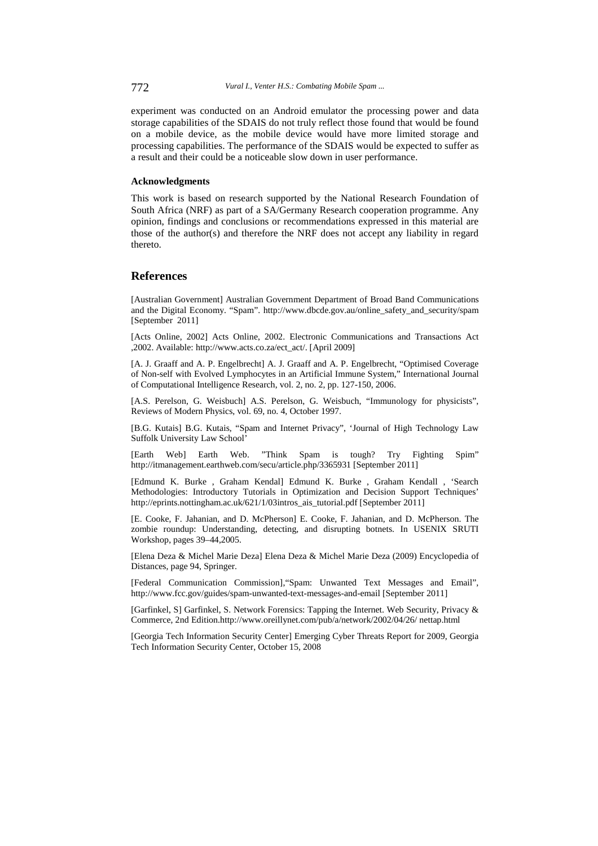experiment was conducted on an Android emulator the processing power and data storage capabilities of the SDAIS do not truly reflect those found that would be found on a mobile device, as the mobile device would have more limited storage and processing capabilities. The performance of the SDAIS would be expected to suffer as a result and their could be a noticeable slow down in user performance.

### **Acknowledgments**

This work is based on research supported by the National Research Foundation of South Africa (NRF) as part of a SA/Germany Research cooperation programme. Any opinion, findings and conclusions or recommendations expressed in this material are those of the author(s) and therefore the NRF does not accept any liability in regard thereto.

### **References**

[Australian Government] Australian Government Department of Broad Band Communications and the Digital Economy. "Spam". http://www.dbcde.gov.au/online\_safety\_and\_security/spam [September 2011]

[Acts Online, 2002] Acts Online, 2002. Electronic Communications and Transactions Act ,2002. Available: http://www.acts.co.za/ect\_act/. [April 2009]

[A. J. Graaff and A. P. Engelbrecht] A. J. Graaff and A. P. Engelbrecht, "Optimised Coverage of Non-self with Evolved Lymphocytes in an Artificial Immune System," International Journal of Computational Intelligence Research, vol. 2, no. 2, pp. 127-150, 2006.

[A.S. Perelson, G. Weisbuch] A.S. Perelson, G. Weisbuch, "Immunology for physicists", Reviews of Modern Physics, vol. 69, no. 4, October 1997.

[B.G. Kutais] B.G. Kutais, "Spam and Internet Privacy", 'Journal of High Technology Law Suffolk University Law School'

[Earth Web] Earth Web. "Think Spam is tough? Try Fighting Spim" http://itmanagement.earthweb.com/secu/article.php/3365931 [September 2011]

[Edmund K. Burke , Graham Kendal] Edmund K. Burke , Graham Kendall , 'Search Methodologies: Introductory Tutorials in Optimization and Decision Support Techniques' http://eprints.nottingham.ac.uk/621/1/03intros\_ais\_tutorial.pdf [September 2011]

[E. Cooke, F. Jahanian, and D. McPherson] E. Cooke, F. Jahanian, and D. McPherson. The zombie roundup: Understanding, detecting, and disrupting botnets. In USENIX SRUTI Workshop, pages 39–44,2005.

[Elena Deza & Michel Marie Deza] Elena Deza & Michel Marie Deza (2009) Encyclopedia of Distances, page 94, Springer.

[Federal Communication Commission],"Spam: Unwanted Text Messages and Email", http://www.fcc.gov/guides/spam-unwanted-text-messages-and-email [September 2011]

[Garfinkel, S] Garfinkel, S. Network Forensics: Tapping the Internet. Web Security, Privacy & Commerce, 2nd Edition.http://www.oreillynet.com/pub/a/network/2002/04/26/ nettap.html

[Georgia Tech Information Security Center] Emerging Cyber Threats Report for 2009, Georgia Tech Information Security Center, October 15, 2008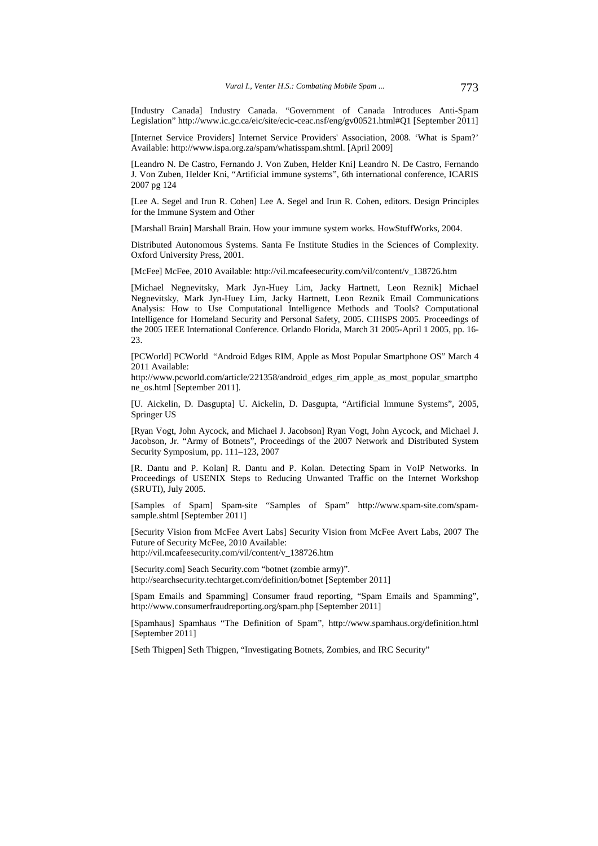[Industry Canada] Industry Canada. "Government of Canada Introduces Anti-Spam Legislation" http://www.ic.gc.ca/eic/site/ecic-ceac.nsf/eng/gv00521.html#Q1 [September 2011]

[Internet Service Providers] Internet Service Providers' Association, 2008. 'What is Spam?' Available: http://www.ispa.org.za/spam/whatisspam.shtml. [April 2009]

[Leandro N. De Castro, Fernando J. Von Zuben, Helder Kni] Leandro N. De Castro, Fernando J. Von Zuben, Helder Kni, "Artificial immune systems", 6th international conference, ICARIS 2007 pg 124

[Lee A. Segel and Irun R. Cohen] Lee A. Segel and Irun R. Cohen, editors. Design Principles for the Immune System and Other

[Marshall Brain] Marshall Brain. How your immune system works. HowStuffWorks, 2004.

Distributed Autonomous Systems. Santa Fe Institute Studies in the Sciences of Complexity. Oxford University Press, 2001.

[McFee] McFee, 2010 Available: http://vil.mcafeesecurity.com/vil/content/v\_138726.htm

[Michael Negnevitsky, Mark Jyn-Huey Lim, Jacky Hartnett, Leon Reznik] Michael Negnevitsky, Mark Jyn-Huey Lim, Jacky Hartnett, Leon Reznik Email Communications Analysis: How to Use Computational Intelligence Methods and Tools? Computational Intelligence for Homeland Security and Personal Safety, 2005. CIHSPS 2005. Proceedings of the 2005 IEEE International Conference. Orlando Florida, March 31 2005-April 1 2005, pp. 16-  $23.$ 

[PCWorld] PCWorld "Android Edges RIM, Apple as Most Popular Smartphone OS" March 4 2011 Available:

http://www.pcworld.com/article/221358/android\_edges\_rim\_apple\_as\_most\_popular\_smartpho ne\_os.html [September 2011].

[U. Aickelin, D. Dasgupta] U. Aickelin, D. Dasgupta, "Artificial Immune Systems", 2005, Springer US

[Ryan Vogt, John Aycock, and Michael J. Jacobson] Ryan Vogt, John Aycock, and Michael J. Jacobson, Jr. "Army of Botnets", Proceedings of the 2007 Network and Distributed System Security Symposium, pp. 111–123, 2007

[R. Dantu and P. Kolan] R. Dantu and P. Kolan. Detecting Spam in VoIP Networks. In Proceedings of USENIX Steps to Reducing Unwanted Traffic on the Internet Workshop (SRUTI), July 2005.

[Samples of Spam] Spam-site "Samples of Spam" http://www.spam-site.com/spamsample.shtml [September 2011]

[Security Vision from McFee Avert Labs] Security Vision from McFee Avert Labs, 2007 The Future of Security McFee, 2010 Available:

http://vil.mcafeesecurity.com/vil/content/v\_138726.htm

[Security.com] Seach Security.com "botnet (zombie army)". http://searchsecurity.techtarget.com/definition/botnet [September 2011]

[Spam Emails and Spamming] Consumer fraud reporting, "Spam Emails and Spamming", http://www.consumerfraudreporting.org/spam.php [September 2011]

[Spamhaus] Spamhaus "The Definition of Spam", http://www.spamhaus.org/definition.html [September 2011]

[Seth Thigpen] Seth Thigpen, "Investigating Botnets, Zombies, and IRC Security"